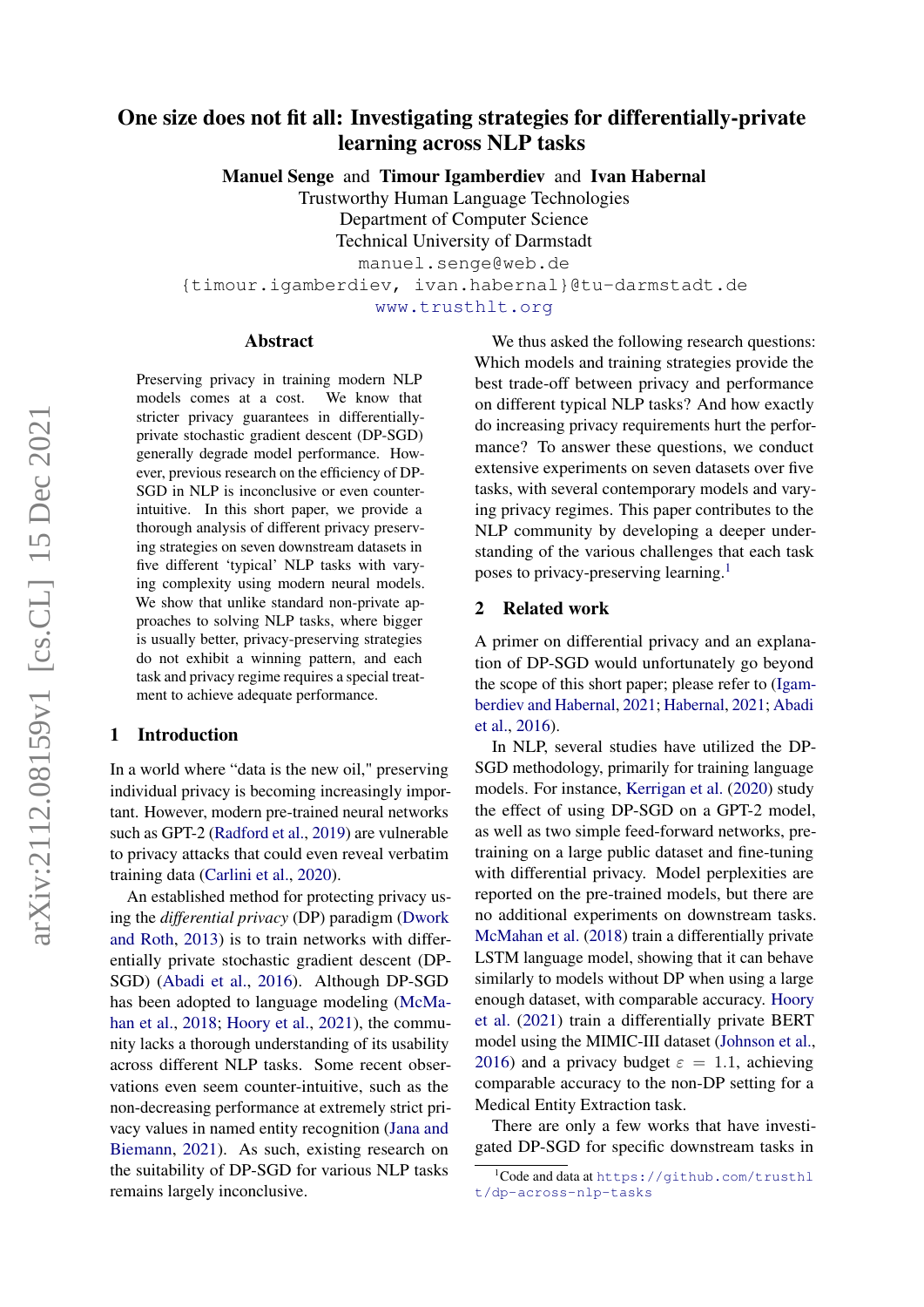# One size does not fit all: Investigating strategies for differentially-private learning across NLP tasks

Manuel Senge and Timour Igamberdiev and Ivan Habernal

Trustworthy Human Language Technologies Department of Computer Science Technical University of Darmstadt

manuel.senge@web.de

{timour.igamberdiev, ivan.habernal}@tu-darmstadt.de

<www.trusthlt.org>

#### Abstract

Preserving privacy in training modern NLP models comes at a cost. We know that stricter privacy guarantees in differentiallyprivate stochastic gradient descent (DP-SGD) generally degrade model performance. However, previous research on the efficiency of DP-SGD in NLP is inconclusive or even counterintuitive. In this short paper, we provide a thorough analysis of different privacy preserving strategies on seven downstream datasets in five different 'typical' NLP tasks with varying complexity using modern neural models. We show that unlike standard non-private approaches to solving NLP tasks, where bigger is usually better, privacy-preserving strategies do not exhibit a winning pattern, and each task and privacy regime requires a special treatment to achieve adequate performance.

### 1 Introduction

In a world where "data is the new oil," preserving individual privacy is becoming increasingly important. However, modern pre-trained neural networks such as GPT-2 [\(Radford et al.,](#page-4-0) [2019\)](#page-4-0) are vulnerable to privacy attacks that could even reveal verbatim training data [\(Carlini et al.,](#page-4-1) [2020\)](#page-4-1).

An established method for protecting privacy using the *differential privacy* (DP) paradigm [\(Dwork](#page-4-2) [and Roth,](#page-4-2) [2013\)](#page-4-2) is to train networks with differentially private stochastic gradient descent (DP-SGD) [\(Abadi et al.,](#page-4-3) [2016\)](#page-4-3). Although DP-SGD has been adopted to language modeling [\(McMa](#page-4-4)[han et al.,](#page-4-4) [2018;](#page-4-4) [Hoory et al.,](#page-4-5) [2021\)](#page-4-5), the community lacks a thorough understanding of its usability across different NLP tasks. Some recent observations even seem counter-intuitive, such as the non-decreasing performance at extremely strict privacy values in named entity recognition [\(Jana and](#page-4-6) [Biemann,](#page-4-6) [2021\)](#page-4-6). As such, existing research on the suitability of DP-SGD for various NLP tasks remains largely inconclusive.

We thus asked the following research questions: Which models and training strategies provide the best trade-off between privacy and performance on different typical NLP tasks? And how exactly do increasing privacy requirements hurt the performance? To answer these questions, we conduct extensive experiments on seven datasets over five tasks, with several contemporary models and varying privacy regimes. This paper contributes to the NLP community by developing a deeper understanding of the various challenges that each task poses to privacy-preserving learning.<sup>[1](#page-0-0)</sup>

# 2 Related work

A primer on differential privacy and an explanation of DP-SGD would unfortunately go beyond the scope of this short paper; please refer to [\(Igam](#page-4-7)[berdiev and Habernal,](#page-4-7) [2021;](#page-4-7) [Habernal,](#page-4-8) [2021;](#page-4-8) [Abadi](#page-4-3) [et al.,](#page-4-3) [2016\)](#page-4-3).

In NLP, several studies have utilized the DP-SGD methodology, primarily for training language models. For instance, [Kerrigan et al.](#page-4-9) [\(2020\)](#page-4-9) study the effect of using DP-SGD on a GPT-2 model, as well as two simple feed-forward networks, pretraining on a large public dataset and fine-tuning with differential privacy. Model perplexities are reported on the pre-trained models, but there are no additional experiments on downstream tasks. [McMahan et al.](#page-4-4) [\(2018\)](#page-4-4) train a differentially private LSTM language model, showing that it can behave similarly to models without DP when using a large enough dataset, with comparable accuracy. [Hoory](#page-4-5) [et al.](#page-4-5) [\(2021\)](#page-4-5) train a differentially private BERT model using the MIMIC-III dataset [\(Johnson et al.,](#page-4-10) [2016\)](#page-4-10) and a privacy budget  $\varepsilon = 1.1$ , achieving comparable accuracy to the non-DP setting for a Medical Entity Extraction task.

There are only a few works that have investigated DP-SGD for specific downstream tasks in

<span id="page-0-0"></span> $1$ Code and data at <code>[https://github.com/trusthl](https://github.com/trusthlt/dp-across-nlp-tasks)</code> [t/dp-across-nlp-tasks](https://github.com/trusthlt/dp-across-nlp-tasks)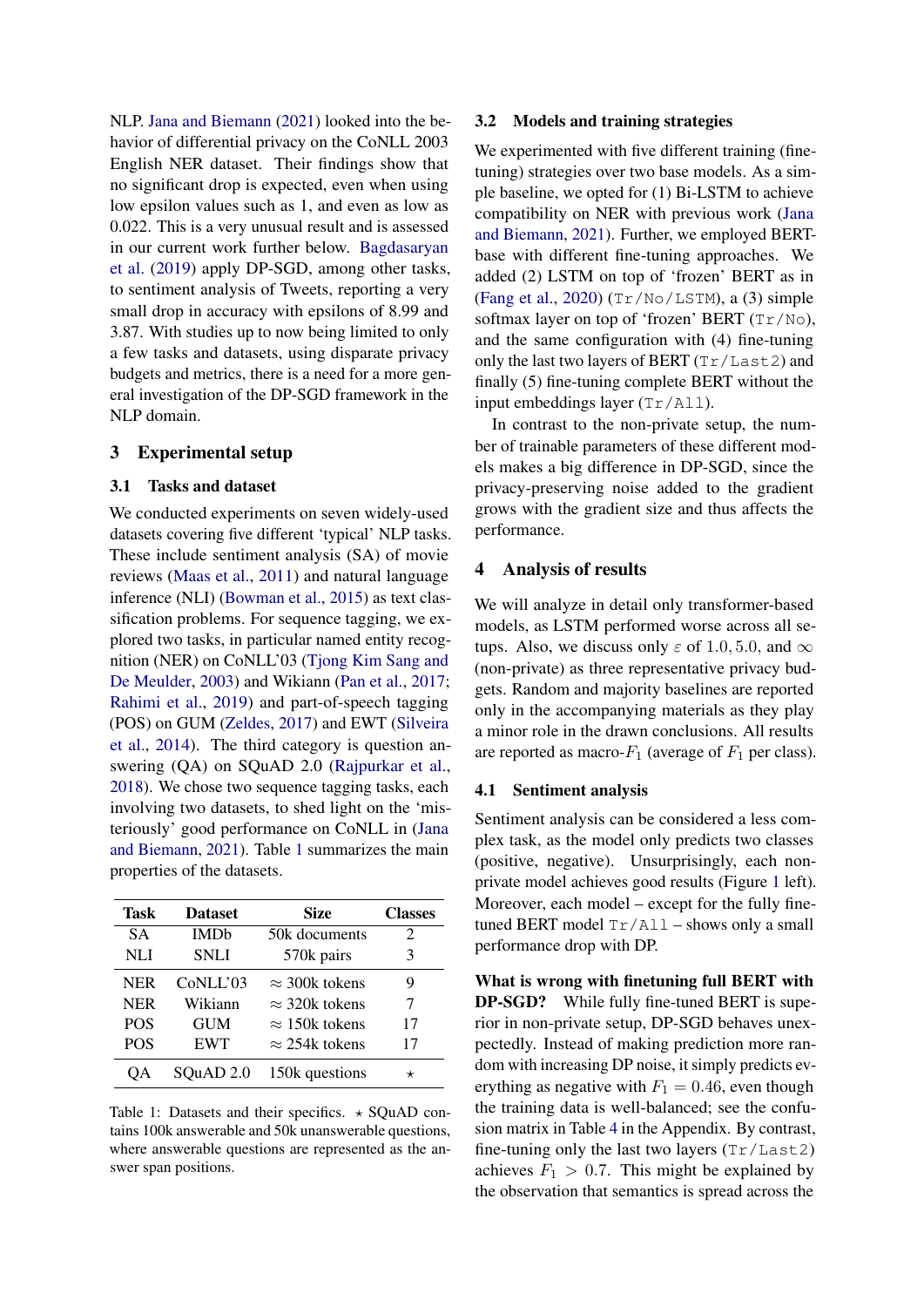NLP. [Jana and Biemann](#page-4-6) [\(2021\)](#page-4-6) looked into the behavior of differential privacy on the CoNLL 2003 English NER dataset. Their findings show that no significant drop is expected, even when using low epsilon values such as 1, and even as low as 0.022. This is a very unusual result and is assessed in our current work further below. [Bagdasaryan](#page-4-11) [et al.](#page-4-11) [\(2019\)](#page-4-11) apply DP-SGD, among other tasks, to sentiment analysis of Tweets, reporting a very small drop in accuracy with epsilons of 8.99 and 3.87. With studies up to now being limited to only a few tasks and datasets, using disparate privacy budgets and metrics, there is a need for a more general investigation of the DP-SGD framework in the NLP domain.

### 3 Experimental setup

# 3.1 Tasks and dataset

We conducted experiments on seven widely-used datasets covering five different 'typical' NLP tasks. These include sentiment analysis (SA) of movie reviews [\(Maas et al.,](#page-4-12) [2011\)](#page-4-12) and natural language inference (NLI) [\(Bowman et al.,](#page-4-13) [2015\)](#page-4-13) as text classification problems. For sequence tagging, we explored two tasks, in particular named entity recognition (NER) on CoNLL'03 [\(Tjong Kim Sang and](#page-5-0) [De Meulder,](#page-5-0) [2003\)](#page-5-0) and Wikiann [\(Pan et al.,](#page-4-14) [2017;](#page-4-14) [Rahimi et al.,](#page-5-1) [2019\)](#page-5-1) and part-of-speech tagging (POS) on GUM [\(Zeldes,](#page-5-2) [2017\)](#page-5-2) and EWT [\(Silveira](#page-5-3) [et al.,](#page-5-3) [2014\)](#page-5-3). The third category is question answering (QA) on SQuAD 2.0 [\(Rajpurkar et al.,](#page-5-4) [2018\)](#page-5-4). We chose two sequence tagging tasks, each involving two datasets, to shed light on the 'misteriously' good performance on CoNLL in [\(Jana](#page-4-6) [and Biemann,](#page-4-6) [2021\)](#page-4-6). Table [1](#page-1-0) summarizes the main properties of the datasets.

<span id="page-1-0"></span>

| Task       | <b>Dataset</b> | Size                  | <b>Classes</b> |
|------------|----------------|-----------------------|----------------|
| <b>SA</b>  | <b>IMDb</b>    | 50k documents         | 2              |
| NLI        | <b>SNLI</b>    | 570k pairs            | 3              |
| <b>NER</b> | CoNLL'03       | $\approx$ 300k tokens | 9              |
| <b>NER</b> | Wikiann        | $\approx$ 320k tokens | 7              |
| <b>POS</b> | <b>GUM</b>     | $\approx$ 150k tokens | 17             |
| <b>POS</b> | <b>EWT</b>     | $\approx$ 254k tokens | 17             |
| OА         | SQuAD 2.0      | 150k questions        |                |

# Table 1: Datasets and their specifics.  $\star$  SQuAD contains 100k answerable and 50k unanswerable questions, where answerable questions are represented as the answer span positions.

#### <span id="page-1-1"></span>3.2 Models and training strategies

We experimented with five different training (finetuning) strategies over two base models. As a simple baseline, we opted for (1) Bi-LSTM to achieve compatibility on NER with previous work [\(Jana](#page-4-6) [and Biemann,](#page-4-6) [2021\)](#page-4-6). Further, we employed BERTbase with different fine-tuning approaches. We added (2) LSTM on top of 'frozen' BERT as in [\(Fang et al.,](#page-4-15) [2020\)](#page-4-15) (Tr/No/LSTM), a (3) simple softmax layer on top of 'frozen' BERT (Tr/No), and the same configuration with (4) fine-tuning only the last two layers of BERT (Tr/Last2) and finally (5) fine-tuning complete BERT without the input embeddings layer (Tr/All).

In contrast to the non-private setup, the number of trainable parameters of these different models makes a big difference in DP-SGD, since the privacy-preserving noise added to the gradient grows with the gradient size and thus affects the performance.

#### 4 Analysis of results

We will analyze in detail only transformer-based models, as LSTM performed worse across all setups. Also, we discuss only  $\varepsilon$  of 1.0, 5.0, and  $\infty$ (non-private) as three representative privacy budgets. Random and majority baselines are reported only in the accompanying materials as they play a minor role in the drawn conclusions. All results are reported as macro- $F_1$  (average of  $F_1$  per class).

#### 4.1 Sentiment analysis

Sentiment analysis can be considered a less complex task, as the model only predicts two classes (positive, negative). Unsurprisingly, each nonprivate model achieves good results (Figure [1](#page-2-0) left). Moreover, each model – except for the fully finetuned BERT model  $Tr/AL1$  – shows only a small performance drop with DP.

What is wrong with finetuning full BERT with DP-SGD? While fully fine-tuned BERT is superior in non-private setup, DP-SGD behaves unexpectedly. Instead of making prediction more random with increasing DP noise, it simply predicts everything as negative with  $F_1 = 0.46$ , even though the training data is well-balanced; see the confusion matrix in Table [4](#page-5-5) in the Appendix. By contrast, fine-tuning only the last two layers  $(Tr/Last2)$ achieves  $F_1 > 0.7$ . This might be explained by the observation that semantics is spread across the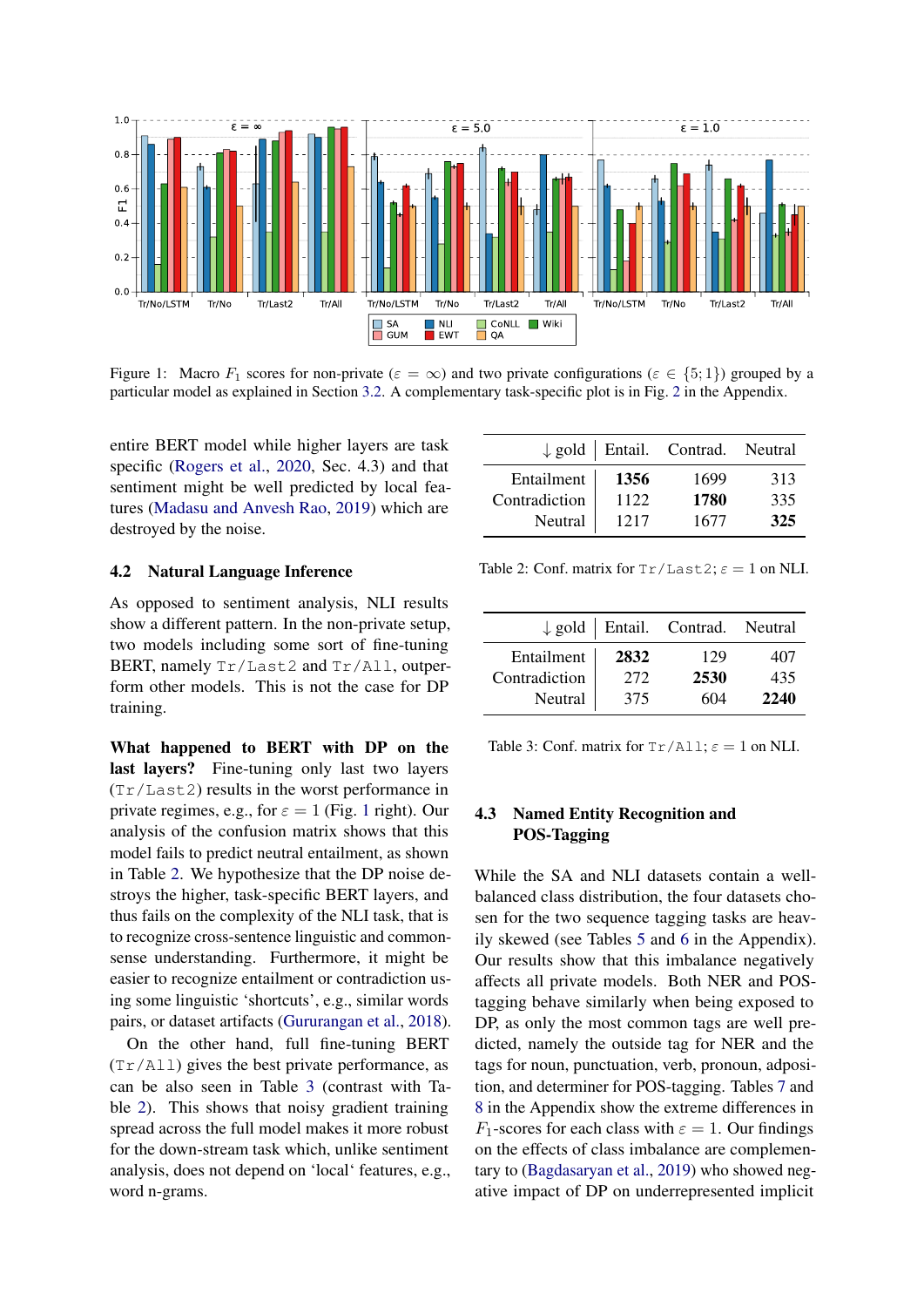<span id="page-2-0"></span>

Figure 1: Macro  $F_1$  scores for non-private  $(\varepsilon = \infty)$  and two private configurations  $(\varepsilon \in \{5, 1\})$  grouped by a particular model as explained in Section [3.2.](#page-1-1) A complementary task-specific plot is in Fig. [2](#page-6-0) in the Appendix.

entire BERT model while higher layers are task specific [\(Rogers et al.,](#page-5-6) [2020,](#page-5-6) Sec. 4.3) and that sentiment might be well predicted by local features [\(Madasu and Anvesh Rao,](#page-4-16) [2019\)](#page-4-16) which are destroyed by the noise.

#### 4.2 Natural Language Inference

As opposed to sentiment analysis, NLI results show a different pattern. In the non-private setup, two models including some sort of fine-tuning BERT, namely Tr/Last2 and Tr/All, outperform other models. This is not the case for DP training.

What happened to BERT with DP on the last layers? Fine-tuning only last two layers (Tr/Last2) results in the worst performance in private regimes, e.g., for  $\varepsilon = 1$  $\varepsilon = 1$  (Fig. 1 right). Our analysis of the confusion matrix shows that this model fails to predict neutral entailment, as shown in Table [2.](#page-2-1) We hypothesize that the DP noise destroys the higher, task-specific BERT layers, and thus fails on the complexity of the NLI task, that is to recognize cross-sentence linguistic and commonsense understanding. Furthermore, it might be easier to recognize entailment or contradiction using some linguistic 'shortcuts', e.g., similar words pairs, or dataset artifacts [\(Gururangan et al.,](#page-4-17) [2018\)](#page-4-17).

On the other hand, full fine-tuning BERT (Tr/All) gives the best private performance, as can be also seen in Table [3](#page-2-2) (contrast with Table [2\)](#page-2-1). This shows that noisy gradient training spread across the full model makes it more robust for the down-stream task which, unlike sentiment analysis, does not depend on 'local' features, e.g., word n-grams.

<span id="page-2-1"></span>

|               |      | $\downarrow$ gold   Entail. Contrad. Neutral |     |
|---------------|------|----------------------------------------------|-----|
| Entailment    | 1356 | 1699                                         | 313 |
| Contradiction | 1122 | 1780                                         | 335 |
| Neutral       | 1217 | 1677                                         | 325 |

Table 2: Conf. matrix for  $Tr/Last2$ ;  $\varepsilon = 1$  on NLI.

<span id="page-2-2"></span>

|               |      | $\downarrow$ gold   Entail. Contrad. Neutral |      |
|---------------|------|----------------------------------------------|------|
| Entailment    | 2832 | 129                                          | 407  |
| Contradiction | 272  | 2530                                         | 435  |
| Neutral       | 375  | 604                                          | 2240 |

Table 3: Conf. matrix for  $Tr/AL1$ ;  $\varepsilon = 1$  on NLI.

# 4.3 Named Entity Recognition and POS-Tagging

While the SA and NLI datasets contain a wellbalanced class distribution, the four datasets chosen for the two sequence tagging tasks are heavily skewed (see Tables [5](#page-5-7) and [6](#page-6-1) in the Appendix). Our results show that this imbalance negatively affects all private models. Both NER and POStagging behave similarly when being exposed to DP, as only the most common tags are well predicted, namely the outside tag for NER and the tags for noun, punctuation, verb, pronoun, adposition, and determiner for POS-tagging. Tables [7](#page-6-2) and [8](#page-6-3) in the Appendix show the extreme differences in  $F_1$ -scores for each class with  $\varepsilon = 1$ . Our findings on the effects of class imbalance are complementary to [\(Bagdasaryan et al.,](#page-4-11) [2019\)](#page-4-11) who showed negative impact of DP on underrepresented implicit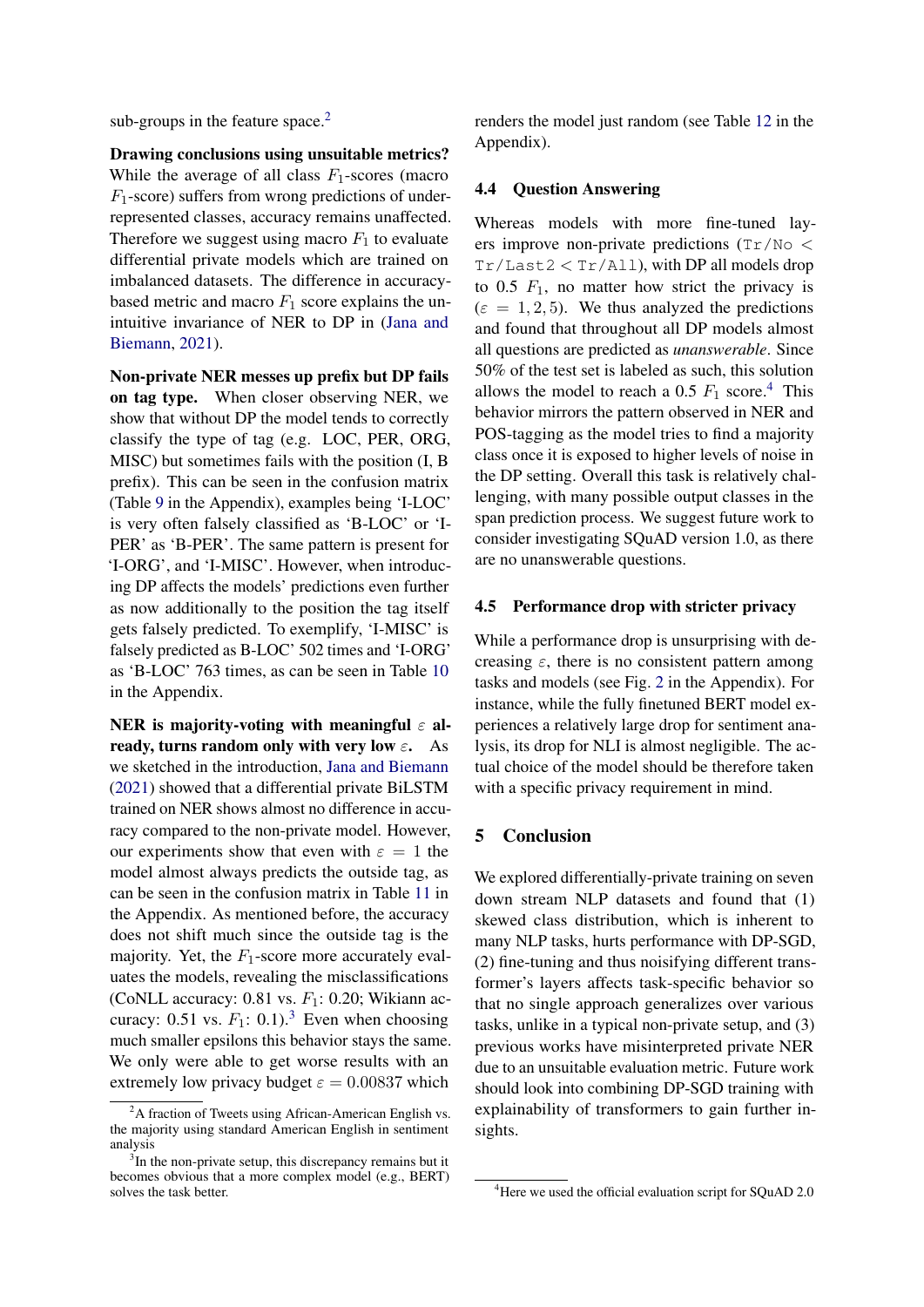sub-groups in the feature space.<sup>[2](#page-3-0)</sup>

Drawing conclusions using unsuitable metrics? While the average of all class  $F_1$ -scores (macro  $F_1$ -score) suffers from wrong predictions of underrepresented classes, accuracy remains unaffected. Therefore we suggest using macro  $F_1$  to evaluate differential private models which are trained on imbalanced datasets. The difference in accuracybased metric and macro  $F_1$  score explains the unintuitive invariance of NER to DP in [\(Jana and](#page-4-6) [Biemann,](#page-4-6) [2021\)](#page-4-6).

Non-private NER messes up prefix but DP fails on tag type. When closer observing NER, we show that without DP the model tends to correctly classify the type of tag (e.g. LOC, PER, ORG, MISC) but sometimes fails with the position (I, B prefix). This can be seen in the confusion matrix (Table [9](#page-7-0) in the Appendix), examples being 'I-LOC' is very often falsely classified as 'B-LOC' or 'I-PER' as 'B-PER'. The same pattern is present for 'I-ORG', and 'I-MISC'. However, when introducing DP affects the models' predictions even further as now additionally to the position the tag itself gets falsely predicted. To exemplify, 'I-MISC' is falsely predicted as B-LOC' 502 times and 'I-ORG' as 'B-LOC' 763 times, as can be seen in Table [10](#page-7-1) in the Appendix.

NER is majority-voting with meaningful  $\varepsilon$  already, turns random only with very low  $\varepsilon$ . As we sketched in the introduction, [Jana and Biemann](#page-4-6) [\(2021\)](#page-4-6) showed that a differential private BiLSTM trained on NER shows almost no difference in accuracy compared to the non-private model. However, our experiments show that even with  $\varepsilon = 1$  the model almost always predicts the outside tag, as can be seen in the confusion matrix in Table [11](#page-7-2) in the Appendix. As mentioned before, the accuracy does not shift much since the outside tag is the majority. Yet, the  $F_1$ -score more accurately evaluates the models, revealing the misclassifications (CoNLL accuracy:  $0.81$  vs.  $F_1$ :  $0.20$ ; Wikiann accuracy: 0.51 vs.  $F_1$ : 0.1).<sup>[3](#page-3-1)</sup> Even when choosing much smaller epsilons this behavior stays the same. We only were able to get worse results with an extremely low privacy budget  $\varepsilon = 0.00837$  which

renders the model just random (see Table [12](#page-8-0) in the Appendix).

# 4.4 Question Answering

Whereas models with more fine-tuned layers improve non-private predictions (Tr/No <  $Tr/Last2 < Tr/Al1$ ), with DP all models drop to 0.5  $F_1$ , no matter how strict the privacy is  $(\varepsilon = 1, 2, 5)$ . We thus analyzed the predictions and found that throughout all DP models almost all questions are predicted as *unanswerable*. Since 50% of the test set is labeled as such, this solution allows the model to reach a 0.5  $F_1$  score.<sup>[4](#page-3-2)</sup> This behavior mirrors the pattern observed in NER and POS-tagging as the model tries to find a majority class once it is exposed to higher levels of noise in the DP setting. Overall this task is relatively challenging, with many possible output classes in the span prediction process. We suggest future work to consider investigating SQuAD version 1.0, as there are no unanswerable questions.

# 4.5 Performance drop with stricter privacy

While a performance drop is unsurprising with decreasing  $\varepsilon$ , there is no consistent pattern among tasks and models (see Fig. [2](#page-6-0) in the Appendix). For instance, while the fully finetuned BERT model experiences a relatively large drop for sentiment analysis, its drop for NLI is almost negligible. The actual choice of the model should be therefore taken with a specific privacy requirement in mind.

# 5 Conclusion

We explored differentially-private training on seven down stream NLP datasets and found that (1) skewed class distribution, which is inherent to many NLP tasks, hurts performance with DP-SGD, (2) fine-tuning and thus noisifying different transformer's layers affects task-specific behavior so that no single approach generalizes over various tasks, unlike in a typical non-private setup, and (3) previous works have misinterpreted private NER due to an unsuitable evaluation metric. Future work should look into combining DP-SGD training with explainability of transformers to gain further insights.

<span id="page-3-0"></span> $2A$  fraction of Tweets using African-American English vs. the majority using standard American English in sentiment analysis

<span id="page-3-1"></span><sup>&</sup>lt;sup>3</sup>In the non-private setup, this discrepancy remains but it becomes obvious that a more complex model (e.g., BERT) solves the task better.

<span id="page-3-2"></span><sup>&</sup>lt;sup>4</sup>Here we used the official evaluation script for SQuAD 2.0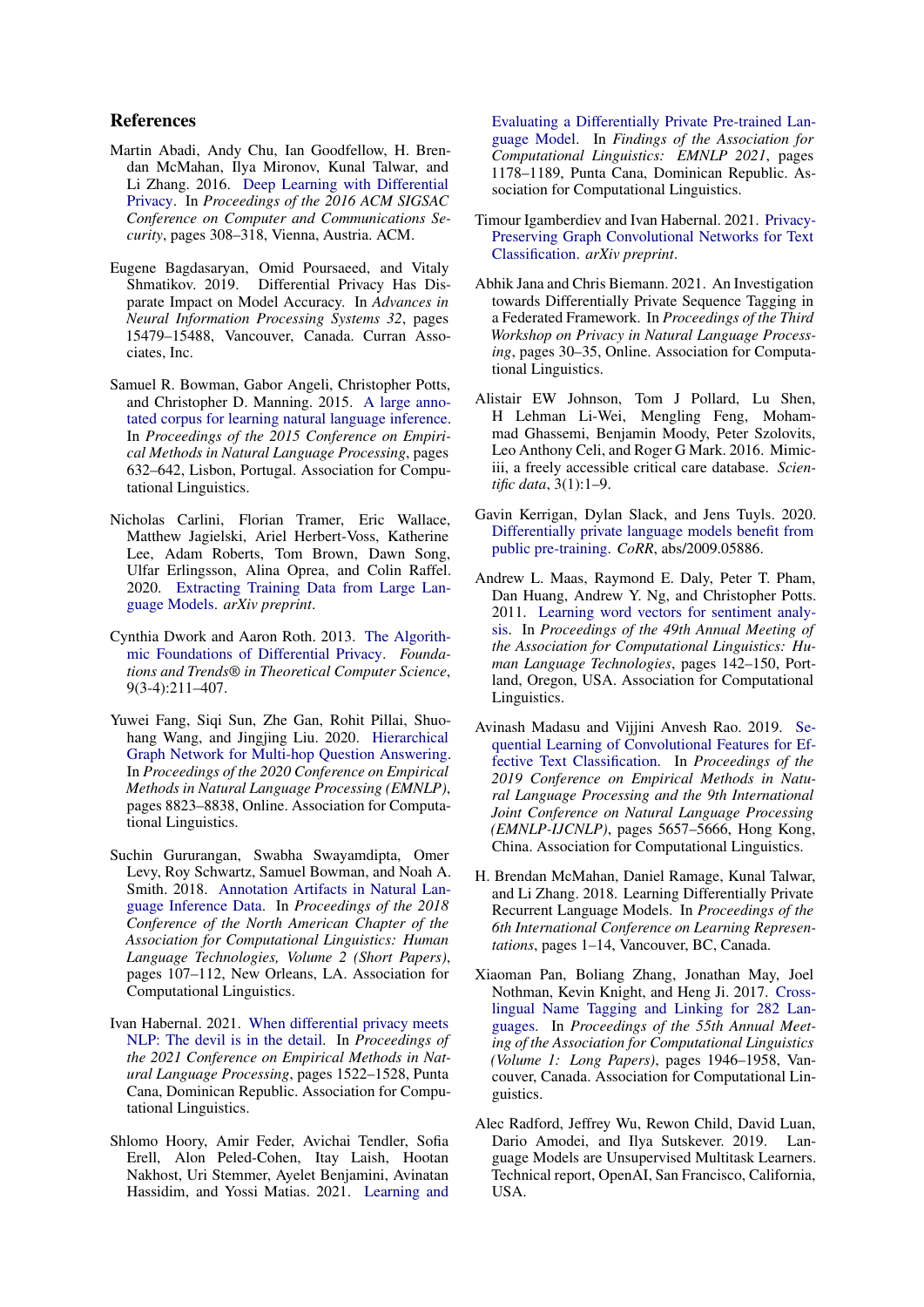# References

- <span id="page-4-3"></span>Martin Abadi, Andy Chu, Ian Goodfellow, H. Brendan McMahan, Ilya Mironov, Kunal Talwar, and Li Zhang. 2016. [Deep Learning with Differential](https://doi.org/10.1145/2976749.2978318) [Privacy.](https://doi.org/10.1145/2976749.2978318) In *Proceedings of the 2016 ACM SIGSAC Conference on Computer and Communications Security*, pages 308–318, Vienna, Austria. ACM.
- <span id="page-4-11"></span>Eugene Bagdasaryan, Omid Poursaeed, and Vitaly Shmatikov. 2019. Differential Privacy Has Disparate Impact on Model Accuracy. In *Advances in Neural Information Processing Systems 32*, pages 15479–15488, Vancouver, Canada. Curran Associates, Inc.
- <span id="page-4-13"></span>Samuel R. Bowman, Gabor Angeli, Christopher Potts, and Christopher D. Manning. 2015. [A large anno](https://doi.org/10.18653/v1/D15-1075)[tated corpus for learning natural language inference.](https://doi.org/10.18653/v1/D15-1075) In *Proceedings of the 2015 Conference on Empirical Methods in Natural Language Processing*, pages 632–642, Lisbon, Portugal. Association for Computational Linguistics.
- <span id="page-4-1"></span>Nicholas Carlini, Florian Tramer, Eric Wallace, Matthew Jagielski, Ariel Herbert-Voss, Katherine Lee, Adam Roberts, Tom Brown, Dawn Song, Ulfar Erlingsson, Alina Oprea, and Colin Raffel. 2020. [Extracting Training Data from Large Lan](http://arxiv.org/abs/2012.07805)[guage Models.](http://arxiv.org/abs/2012.07805) *arXiv preprint*.
- <span id="page-4-2"></span>Cynthia Dwork and Aaron Roth. 2013. [The Algorith](https://doi.org/10.1561/0400000042)[mic Foundations of Differential Privacy.](https://doi.org/10.1561/0400000042) *Foundations and Trends® in Theoretical Computer Science*, 9(3-4):211–407.
- <span id="page-4-15"></span>Yuwei Fang, Siqi Sun, Zhe Gan, Rohit Pillai, Shuohang Wang, and Jingjing Liu. 2020. [Hierarchical](https://doi.org/10.18653/v1/2020.emnlp-main.710) [Graph Network for Multi-hop Question Answering.](https://doi.org/10.18653/v1/2020.emnlp-main.710) In *Proceedings of the 2020 Conference on Empirical Methods in Natural Language Processing (EMNLP)*, pages 8823–8838, Online. Association for Computational Linguistics.
- <span id="page-4-17"></span>Suchin Gururangan, Swabha Swayamdipta, Omer Levy, Roy Schwartz, Samuel Bowman, and Noah A. Smith. 2018. [Annotation Artifacts in Natural Lan](https://doi.org/10.18653/v1/N18-2017)[guage Inference Data.](https://doi.org/10.18653/v1/N18-2017) In *Proceedings of the 2018 Conference of the North American Chapter of the Association for Computational Linguistics: Human Language Technologies, Volume 2 (Short Papers)*, pages 107–112, New Orleans, LA. Association for Computational Linguistics.
- <span id="page-4-8"></span>Ivan Habernal. 2021. [When differential privacy meets](https://aclanthology.org/2021.emnlp-main.114/) [NLP: The devil is in the detail.](https://aclanthology.org/2021.emnlp-main.114/) In *Proceedings of the 2021 Conference on Empirical Methods in Natural Language Processing*, pages 1522–1528, Punta Cana, Dominican Republic. Association for Computational Linguistics.
- <span id="page-4-5"></span>Shlomo Hoory, Amir Feder, Avichai Tendler, Sofia Erell, Alon Peled-Cohen, Itay Laish, Hootan Nakhost, Uri Stemmer, Ayelet Benjamini, Avinatan Hassidim, and Yossi Matias. 2021. [Learning and](https://aclanthology.org/2021.findings-emnlp.102)

[Evaluating a Differentially Private Pre-trained Lan](https://aclanthology.org/2021.findings-emnlp.102)[guage Model.](https://aclanthology.org/2021.findings-emnlp.102) In *Findings of the Association for Computational Linguistics: EMNLP 2021*, pages 1178–1189, Punta Cana, Dominican Republic. Association for Computational Linguistics.

- <span id="page-4-7"></span>Timour Igamberdiev and Ivan Habernal. 2021. [Privacy-](http://arxiv.org/abs/2102.09604)[Preserving Graph Convolutional Networks for Text](http://arxiv.org/abs/2102.09604) [Classification.](http://arxiv.org/abs/2102.09604) *arXiv preprint*.
- <span id="page-4-6"></span>Abhik Jana and Chris Biemann. 2021. An Investigation towards Differentially Private Sequence Tagging in a Federated Framework. In *Proceedings of the Third Workshop on Privacy in Natural Language Processing*, pages 30–35, Online. Association for Computational Linguistics.
- <span id="page-4-10"></span>Alistair EW Johnson, Tom J Pollard, Lu Shen, H Lehman Li-Wei, Mengling Feng, Mohammad Ghassemi, Benjamin Moody, Peter Szolovits, Leo Anthony Celi, and Roger G Mark. 2016. Mimiciii, a freely accessible critical care database. *Scientific data*, 3(1):1–9.
- <span id="page-4-9"></span>Gavin Kerrigan, Dylan Slack, and Jens Tuyls. 2020. [Differentially private language models benefit from](http://arxiv.org/abs/2009.05886) [public pre-training.](http://arxiv.org/abs/2009.05886) *CoRR*, abs/2009.05886.
- <span id="page-4-12"></span>Andrew L. Maas, Raymond E. Daly, Peter T. Pham, Dan Huang, Andrew Y. Ng, and Christopher Potts. 2011. [Learning word vectors for sentiment analy](https://aclanthology.org/P11-1015)[sis.](https://aclanthology.org/P11-1015) In *Proceedings of the 49th Annual Meeting of the Association for Computational Linguistics: Human Language Technologies*, pages 142–150, Portland, Oregon, USA. Association for Computational Linguistics.
- <span id="page-4-16"></span>Avinash Madasu and Vijjini Anvesh Rao. 2019. [Se](https://doi.org/10.18653/v1/D19-1567)[quential Learning of Convolutional Features for Ef](https://doi.org/10.18653/v1/D19-1567)[fective Text Classification.](https://doi.org/10.18653/v1/D19-1567) In *Proceedings of the 2019 Conference on Empirical Methods in Natural Language Processing and the 9th International Joint Conference on Natural Language Processing (EMNLP-IJCNLP)*, pages 5657–5666, Hong Kong, China. Association for Computational Linguistics.
- <span id="page-4-4"></span>H. Brendan McMahan, Daniel Ramage, Kunal Talwar, and Li Zhang. 2018. Learning Differentially Private Recurrent Language Models. In *Proceedings of the 6th International Conference on Learning Representations*, pages 1–14, Vancouver, BC, Canada.
- <span id="page-4-14"></span>Xiaoman Pan, Boliang Zhang, Jonathan May, Joel Nothman, Kevin Knight, and Heng Ji. 2017. [Cross](https://doi.org/10.18653/v1/P17-1178)[lingual Name Tagging and Linking for 282 Lan](https://doi.org/10.18653/v1/P17-1178)[guages.](https://doi.org/10.18653/v1/P17-1178) In *Proceedings of the 55th Annual Meeting of the Association for Computational Linguistics (Volume 1: Long Papers)*, pages 1946–1958, Vancouver, Canada. Association for Computational Linguistics.
- <span id="page-4-0"></span>Alec Radford, Jeffrey Wu, Rewon Child, David Luan, Dario Amodei, and Ilya Sutskever. 2019. Language Models are Unsupervised Multitask Learners. Technical report, OpenAI, San Francisco, California, USA.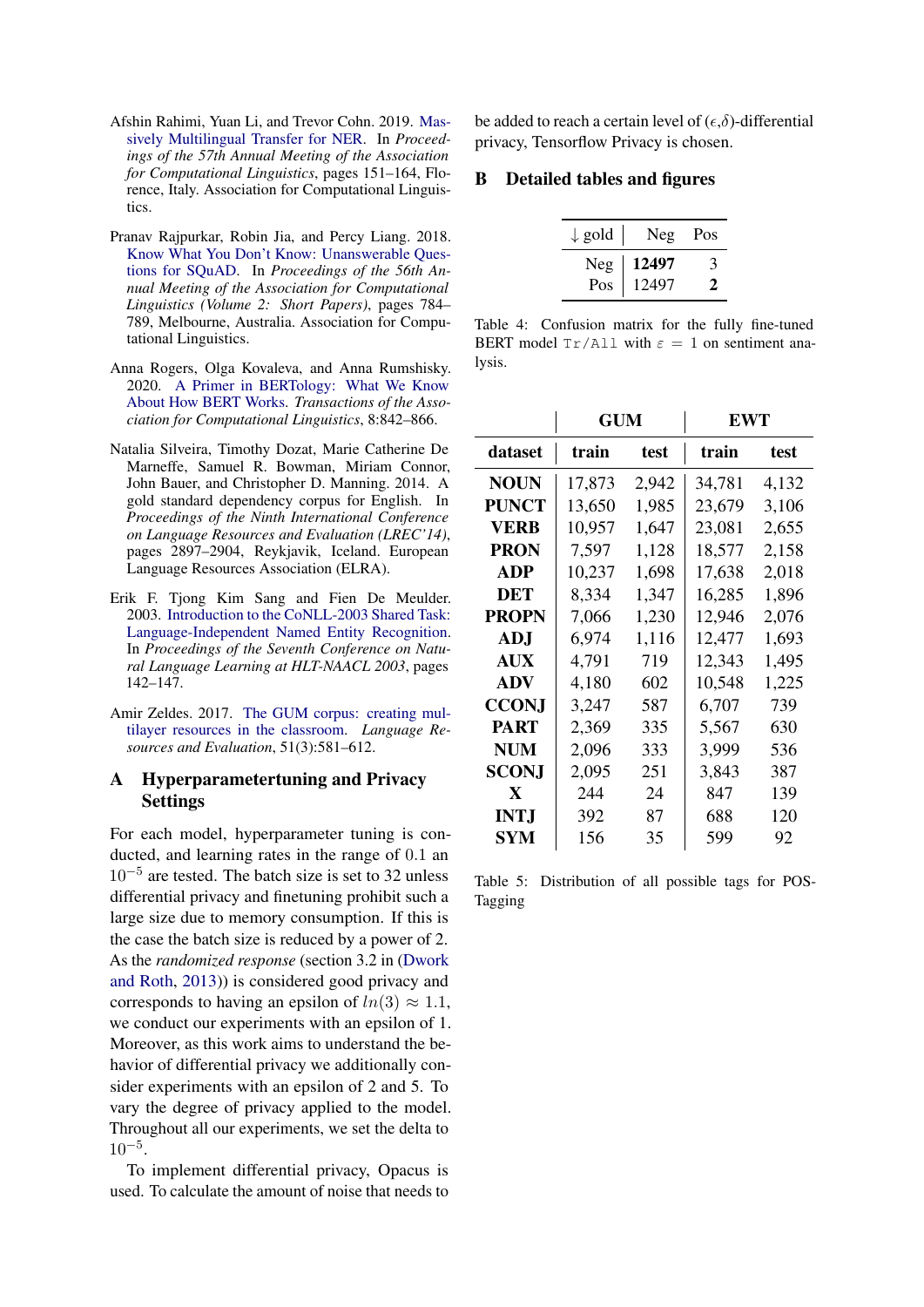- <span id="page-5-1"></span>Afshin Rahimi, Yuan Li, and Trevor Cohn. 2019. [Mas](https://doi.org/10.18653/v1/P19-1015)[sively Multilingual Transfer for NER.](https://doi.org/10.18653/v1/P19-1015) In *Proceedings of the 57th Annual Meeting of the Association for Computational Linguistics*, pages 151–164, Florence, Italy. Association for Computational Linguistics.
- <span id="page-5-4"></span>Pranav Rajpurkar, Robin Jia, and Percy Liang. 2018. [Know What You Don't Know: Unanswerable Ques](https://doi.org/10.18653/v1/P18-2124)[tions for SQuAD.](https://doi.org/10.18653/v1/P18-2124) In *Proceedings of the 56th Annual Meeting of the Association for Computational Linguistics (Volume 2: Short Papers)*, pages 784– 789, Melbourne, Australia. Association for Computational Linguistics.
- <span id="page-5-6"></span>Anna Rogers, Olga Kovaleva, and Anna Rumshisky. 2020. [A Primer in BERTology: What We Know](https://doi.org/10.1162/tacl_a_00349) [About How BERT Works.](https://doi.org/10.1162/tacl_a_00349) *Transactions of the Association for Computational Linguistics*, 8:842–866.
- <span id="page-5-3"></span>Natalia Silveira, Timothy Dozat, Marie Catherine De Marneffe, Samuel R. Bowman, Miriam Connor, John Bauer, and Christopher D. Manning. 2014. A gold standard dependency corpus for English. In *Proceedings of the Ninth International Conference on Language Resources and Evaluation (LREC'14)*, pages 2897–2904, Reykjavik, Iceland. European Language Resources Association (ELRA).
- <span id="page-5-0"></span>Erik F. Tjong Kim Sang and Fien De Meulder. 2003. [Introduction to the CoNLL-2003 Shared Task:](https://aclanthology.org/W03-0419) [Language-Independent Named Entity Recognition.](https://aclanthology.org/W03-0419) In *Proceedings of the Seventh Conference on Natural Language Learning at HLT-NAACL 2003*, pages 142–147.
- <span id="page-5-2"></span>Amir Zeldes. 2017. [The GUM corpus: creating mul](https://doi.org/10.1007/s10579-016-9343-x)[tilayer resources in the classroom.](https://doi.org/10.1007/s10579-016-9343-x) *Language Resources and Evaluation*, 51(3):581–612.

# A Hyperparametertuning and Privacy Settings

For each model, hyperparameter tuning is conducted, and learning rates in the range of 0.1 an 10−<sup>5</sup> are tested. The batch size is set to 32 unless differential privacy and finetuning prohibit such a large size due to memory consumption. If this is the case the batch size is reduced by a power of 2. As the *randomized response* (section 3.2 in [\(Dwork](#page-4-2) [and Roth,](#page-4-2) [2013\)](#page-4-2)) is considered good privacy and corresponds to having an epsilon of  $ln(3) \approx 1.1$ , we conduct our experiments with an epsilon of 1. Moreover, as this work aims to understand the behavior of differential privacy we additionally consider experiments with an epsilon of 2 and 5. To vary the degree of privacy applied to the model. Throughout all our experiments, we set the delta to  $10^{-5}$ .

To implement differential privacy, Opacus is used. To calculate the amount of noise that needs to be added to reach a certain level of  $(\epsilon, \delta)$ -differential privacy, Tensorflow Privacy is chosen.

# <span id="page-5-5"></span>B Detailed tables and figures

| $\downarrow$ gold | Neg              | Pos |
|-------------------|------------------|-----|
|                   | $Neg \mid 12497$ | 3   |
| Pos               | 12497            | Ζ.  |

Table 4: Confusion matrix for the fully fine-tuned BERT model  $Tr/\text{All}$  with  $\varepsilon = 1$  on sentiment analysis.

<span id="page-5-7"></span>

|              | GUM    |       | EWT    |       |
|--------------|--------|-------|--------|-------|
| dataset      | train  | test  | train  | test  |
| NOUN         | 17,873 | 2,942 | 34,781 | 4,132 |
| PUNCT        | 13,650 | 1,985 | 23,679 | 3,106 |
| VERB         | 10,957 | 1,647 | 23,081 | 2,655 |
| PRON         | 7,597  | 1,128 | 18,577 | 2,158 |
| ADP          | 10,237 | 1,698 | 17,638 | 2,018 |
| DET          | 8,334  | 1,347 | 16,285 | 1,896 |
| <b>PROPN</b> | 7,066  | 1,230 | 12,946 | 2,076 |
| ADJ          | 6,974  | 1,116 | 12,477 | 1,693 |
| <b>AUX</b>   | 4,791  | 719   | 12,343 | 1,495 |
| <b>ADV</b>   | 4,180  | 602   | 10,548 | 1,225 |
| <b>CCONJ</b> | 3,247  | 587   | 6,707  | 739   |
| PART         | 2,369  | 335   | 5,567  | 630   |
| NUM          | 2,096  | 333   | 3,999  | 536   |
| <b>SCONJ</b> | 2,095  | 251   | 3,843  | 387   |
| X            | 244    | 24    | 847    | 139   |
| INT.J        | 392    | 87    | 688    | 120   |
| SYM          | 156    | 35    | 599    | 92    |

Table 5: Distribution of all possible tags for POS-Tagging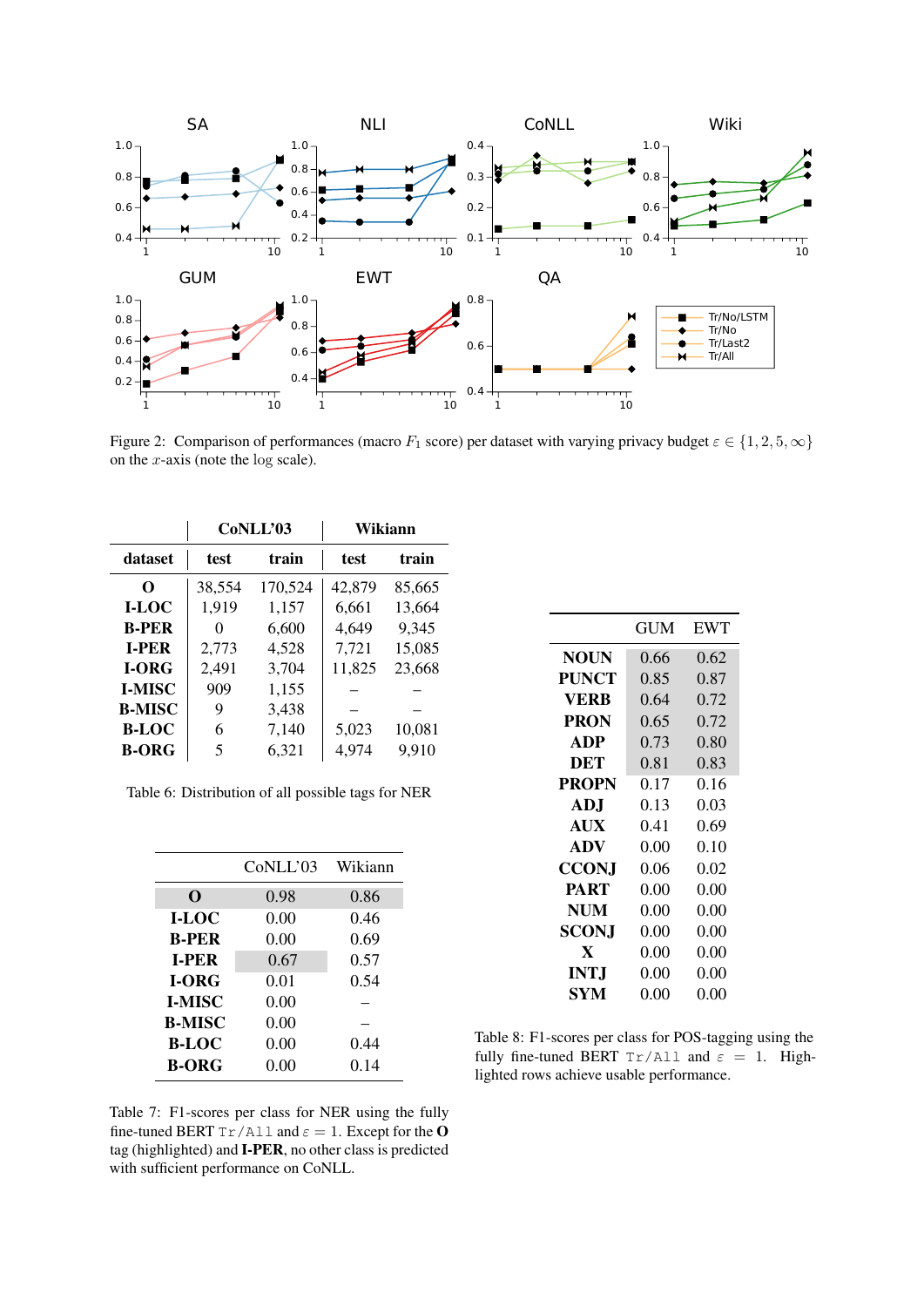<span id="page-6-0"></span>

Figure 2: Comparison of performances (macro  $F_1$  score) per dataset with varying privacy budget  $\varepsilon \in \{1, 2, 5, \infty\}$ on the  $x$ -axis (note the log scale).

<span id="page-6-1"></span>

|               |        | CoNLL'03 |        | Wikiann |
|---------------|--------|----------|--------|---------|
| dataset       | test   | train    | test   | train   |
| 0             | 38,554 | 170,524  | 42,879 | 85,665  |
| I-LOC         | 1,919  | 1,157    | 6,661  | 13,664  |
| <b>B-PER</b>  | 0      | 6,600    | 4,649  | 9,345   |
| <b>I-PER</b>  | 2,773  | 4,528    | 7,721  | 15,085  |
| I-ORG         | 2,491  | 3,704    | 11,825 | 23,668  |
| <b>I-MISC</b> | 909    | 1,155    |        |         |
| <b>B-MISC</b> | 9      | 3,438    |        |         |
| <b>B-LOC</b>  | 6      | 7,140    | 5,023  | 10,081  |
| <b>B-ORG</b>  | 5      | 6,321    | 4,974  | 9,910   |

Table 6: Distribution of all possible tags for NER

<span id="page-6-2"></span>

|               | CoNLL'03 | Wikiann |
|---------------|----------|---------|
| O             | 0.98     | 0.86    |
| I-LOC         | 0.00     | 0.46    |
| <b>B-PER</b>  | 0.00     | 0.69    |
| <b>LPER</b>   | 0.67     | 0.57    |
| <b>I-ORG</b>  | 0.01     | 0.54    |
| <b>I-MISC</b> | 0.00     |         |
| <b>B-MISC</b> | 0.00     |         |
| <b>B-LOC</b>  | 0.00     | 0.44    |
| <b>B-ORG</b>  | 0.00     | 0.14    |

<span id="page-6-3"></span>

|              | GUM  | <b>EWT</b> |
|--------------|------|------------|
| <b>NOUN</b>  | 0.66 | 0.62       |
| PUNCT        | 0.85 | 0.87       |
| VERB         | 0.64 | 0.72       |
| PRON         | 0.65 | 0.72       |
| <b>ADP</b>   | 0.73 | 0.80       |
| DET          | 0.81 | 0.83       |
| <b>PROPN</b> | 0.17 | 0.16       |
| <b>ADJ</b>   | 0.13 | 0.03       |
| <b>AUX</b>   | 0.41 | 0.69       |
| <b>ADV</b>   | 0.00 | 0.10       |
| <b>CCONJ</b> | 0.06 | 0.02       |
| <b>PART</b>  | 0.00 | 0.00       |
| <b>NUM</b>   | 0.00 | 0.00       |
| SCON.I       | 0.00 | 0.00       |
| X            | 0.00 | 0.00       |
| INT.J        | 0.00 | 0.00       |
| SYM          | 0.00 | 0.00       |

Table 8: F1-scores per class for POS-tagging using the fully fine-tuned BERT  $Tr/Al1$  and  $\varepsilon = 1$ . Highlighted rows achieve usable performance.

Table 7: F1-scores per class for NER using the fully fine-tuned BERT  $Tr/AL1$  and  $\varepsilon = 1$ . Except for the O tag (highlighted) and I-PER, no other class is predicted with sufficient performance on CoNLL.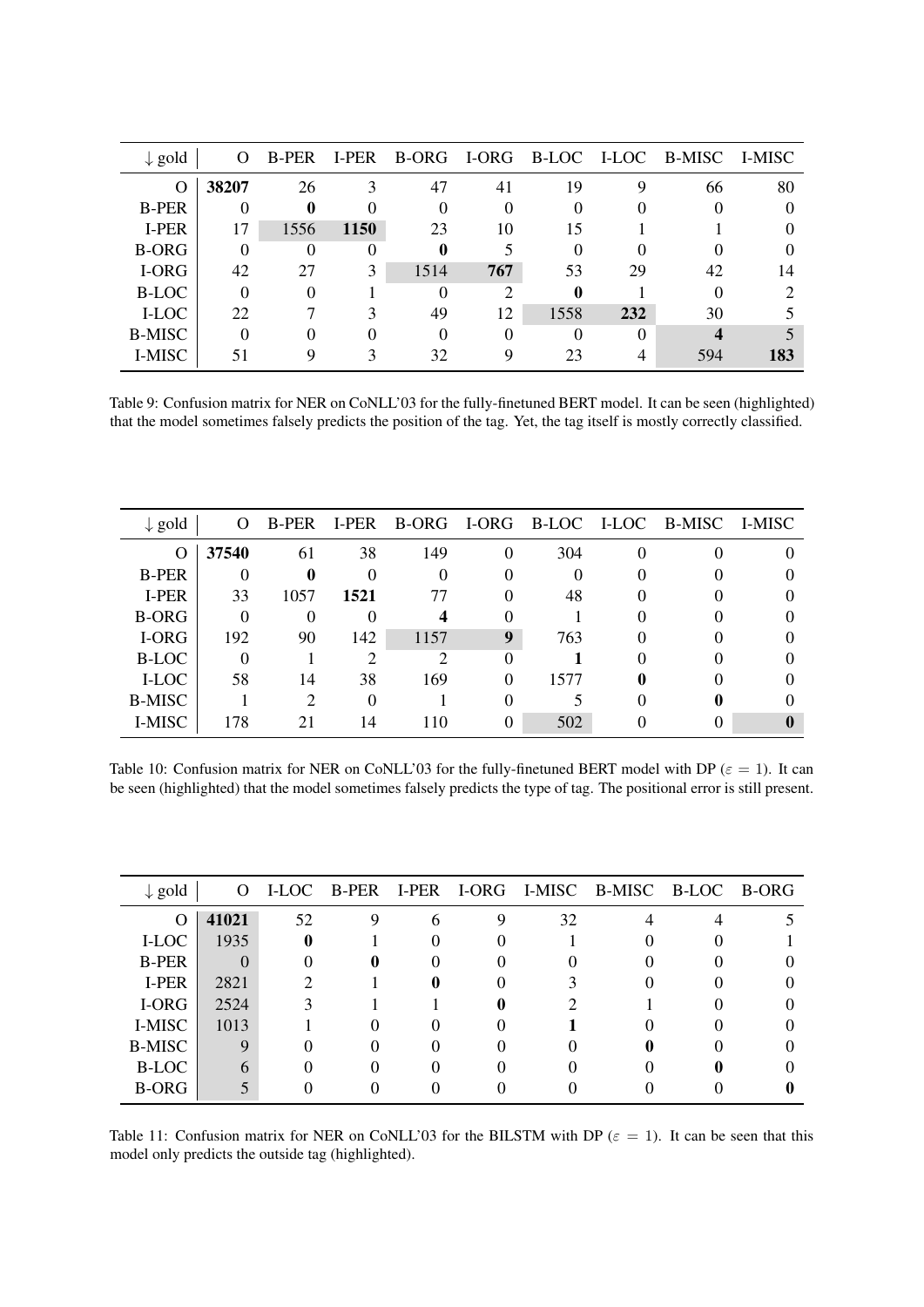<span id="page-7-0"></span>

| $\downarrow$ gold | $\Omega$ | B-PER | I-PER |      |               |      |     | B-ORG I-ORG B-LOC I-LOC B-MISC I-MISC |     |
|-------------------|----------|-------|-------|------|---------------|------|-----|---------------------------------------|-----|
| O                 | 38207    | 26    |       | 47   | 41            | 19   | Q   | 66                                    | 80  |
| <b>B-PER</b>      |          | 0     |       |      | 0             | 0    |     |                                       |     |
| I-PER             | 17       | 1556  | 1150  | 23   | 10            | 15   |     |                                       |     |
| <b>B-ORG</b>      | 0        | 0     |       |      |               | 0    |     |                                       |     |
| I-ORG             | 42       | 27    | 3     | 1514 | 767           | 53   | 29  | 42                                    | 14  |
| <b>B-LOC</b>      | 0        |       |       |      | $\mathcal{P}$ | 0    |     |                                       |     |
| I-LOC             | 22       |       |       | 49   | 12            | 1558 | 232 | 30                                    |     |
| <b>B-MISC</b>     |          |       |       |      |               | 0    |     |                                       |     |
| I-MISC            | 51       | O     |       | 32   | Q             | 23   |     | 594                                   | 183 |

Table 9: Confusion matrix for NER on CoNLL'03 for the fully-finetuned BERT model. It can be seen (highlighted) that the model sometimes falsely predicts the position of the tag. Yet, the tag itself is mostly correctly classified.

<span id="page-7-1"></span>

| $\downarrow$ gold | $\Omega$ | B-PER         | I-PER |      |               |      | B-ORG I-ORG B-LOC I-LOC B-MISC I-MISC |  |
|-------------------|----------|---------------|-------|------|---------------|------|---------------------------------------|--|
| O                 | 37540    | 61            | 38    | 149  | 0             | 304  |                                       |  |
| <b>B-PER</b>      |          | $\mathbf 0$   |       |      |               | 0    |                                       |  |
| I-PER             | 33       | 1057          | 1521  |      | $\mathcal{L}$ | 48   |                                       |  |
| <b>B-ORG</b>      | $\Omega$ |               |       |      |               |      |                                       |  |
| I-ORG             | 192      | 90            | 142   | 1157 | 9             | 763  |                                       |  |
| <b>B-LOC</b>      |          |               |       | っ    | ∩             |      |                                       |  |
| I-LOC             | 58       | 14            | 38    | 169  | 0             | 1577 |                                       |  |
| <b>B-MISC</b>     |          | $\mathcal{D}$ |       |      |               |      |                                       |  |
| <b>I-MISC</b>     | 178      | 21            | 14    | 110  | 0             | 502  |                                       |  |

Table 10: Confusion matrix for NER on CoNLL'03 for the fully-finetuned BERT model with DP ( $\varepsilon = 1$ ). It can be seen (highlighted) that the model sometimes falsely predicts the type of tag. The positional error is still present.

<span id="page-7-2"></span>

| $\downarrow$ gold | $\Omega$ |             |   |    | I-LOC B-PER I-PER I-ORG I-MISC B-MISC B-LOC B-ORG |  |
|-------------------|----------|-------------|---|----|---------------------------------------------------|--|
| O                 | 41021    | 52          | 6 | 32 |                                                   |  |
| I-LOC             | 1935     | $\mathbf 0$ |   |    |                                                   |  |
| <b>B-PER</b>      |          |             |   |    |                                                   |  |
| I-PER             | 2821     |             |   |    |                                                   |  |
| I-ORG             | 2524     |             |   |    |                                                   |  |
| I-MISC            | 1013     |             |   |    |                                                   |  |
| <b>B-MISC</b>     |          |             |   |    |                                                   |  |
| <b>B-LOC</b>      |          |             |   |    |                                                   |  |
| <b>B-ORG</b>      |          |             |   |    |                                                   |  |

Table 11: Confusion matrix for NER on CoNLL'03 for the BILSTM with DP ( $\varepsilon = 1$ ). It can be seen that this model only predicts the outside tag (highlighted).